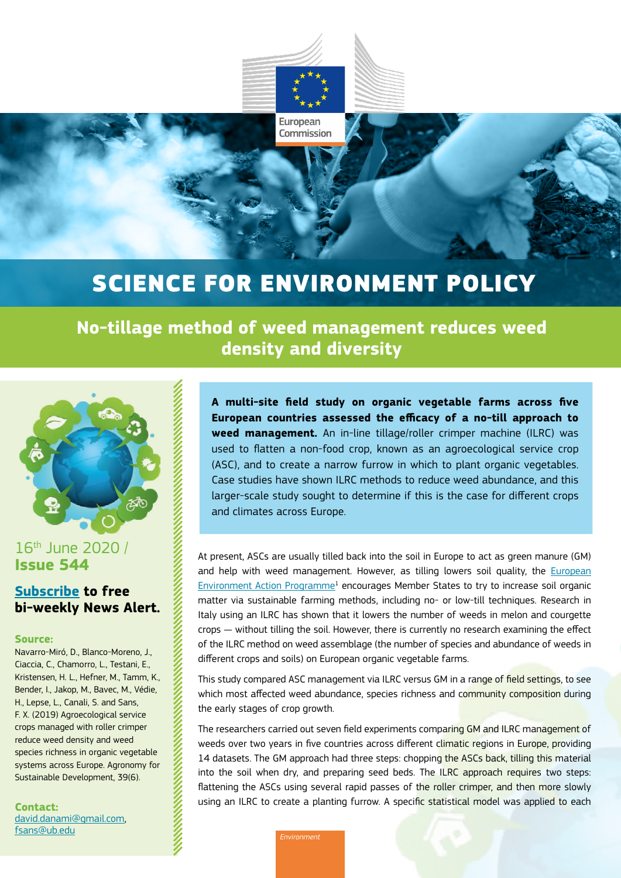

European Commission

## SCIENCE FOR ENVIRONMENT POLICY

**No-tillage method of weed management reduces weed density and diversity**



### 16th June 2020 / **Issue 544**

## **[Subscribe](https://ec.europa.eu/environment/integration/research/newsalert/subscribe.htm) to free bi-weekly News Alert.**

#### **Source:**

Navarro-Miró, D., Blanco-Moreno, J., Ciaccia, C., Chamorro, L., Testani, E., Kristensen, H. L., Hefner, M., Tamm, K., Bender, I., Jakop, M., Bavec, M., Védie, H., Lepse, L., Canali, S. and Sans, F. X. (2019) Agroecological service crops managed with roller crimper reduce weed density and weed species richness in organic vegetable systems across Europe. Agronomy for Sustainable Development, 39(6).

**Contact:** [david.danami@gmail.com](mailto:david.danami%40gmail.com?subject=), [fsans@ub.edu](mailto:fsans%40ub.edu?subject=)

**A multi-site field study on organic vegetable farms across five European countries assessed the efficacy of a no-till approach to weed management.** An in-line tillage/roller crimper machine (ILRC) was used to flatten a non-food crop, known as an agroecological service crop (ASC), and to create a narrow furrow in which to plant organic vegetables. Case studies have shown ILRC methods to reduce weed abundance, and this larger-scale study sought to determine if this is the case for different crops and climates across Europe.

At present, ASCs are usually tilled back into the soil in Europe to act as green manure (GM) and help with weed management. However, as tilling lowers soil quality, the [European](https://eur-lex.europa.eu/legal-content/EN/TXT/?uri=CELEX:32013D1386)  [Environment Action Programme](https://eur-lex.europa.eu/legal-content/EN/TXT/?uri=CELEX:32013D1386)<sup>1</sup> encourages Member States to try to increase soil organic matter via sustainable farming methods, including no- or low-till techniques. Research in Italy using an ILRC has shown that it lowers the number of weeds in melon and courgette crops — without tilling the soil. However, there is currently no research examining the effect of the ILRC method on weed assemblage (the number of species and abundance of weeds in different crops and soils) on European organic vegetable farms.

This study compared ASC management via ILRC versus GM in a range of field settings, to see which most affected weed abundance, species richness and community composition during the early stages of crop growth.

The researchers carried out seven field experiments comparing GM and ILRC management of weeds over two years in five countries across different climatic regions in Europe, providing 14 datasets. The GM approach had three steps: chopping the ASCs back, tilling this material into the soil when dry, and preparing seed beds. The ILRC approach requires two steps: flattening the ASCs using several rapid passes of the roller crimper, and then more slowly using an ILRC to create a planting furrow. A specific statistical model was applied to each

*Environment*